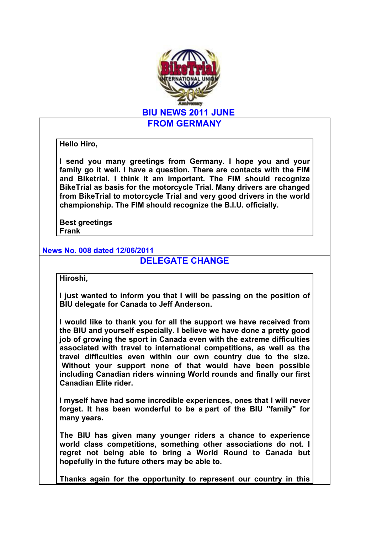

**Hello Hiro,** 

**I send you many greetings from Germany. I hope you and your family go it well. I have a question. There are contacts with the FIM and Biketrial. I think it am important. The FIM should recognize BikeTrial as basis for the motorcycle Trial. Many drivers are changed from BikeTrial to motorcycle Trial and very good drivers in the world championship. The FIM should recognize the B.I.U. officially.**

**Best greetings Frank**

**News No. 008 dated 12/06/2011**

## **DELEGATE CHANGE**

**Hiroshi,**

**I just wanted to inform you that I will be passing on the position of BIU delegate for Canada to Jeff Anderson.** 

**I would like to thank you for all the support we have received from the BIU and yourself especially. I believe we have done a pretty good job of growing the sport in Canada even with the extreme difficulties associated with travel to international competitions, as well as the travel difficulties even within our own country due to the size. Without your support none of that would have been possible including Canadian riders winning World rounds and finally our first Canadian Elite rider.** 

**I myself have had some incredible experiences, ones that I will never forget. It has been wonderful to be a part of the BIU "family" for many years.**

**The BIU has given many younger riders a chance to experience world class competitions, something other associations do not. I regret not being able to bring a World Round to Canada but hopefully in the future others may be able to.**

**Thanks again for the opportunity to represent our country in this**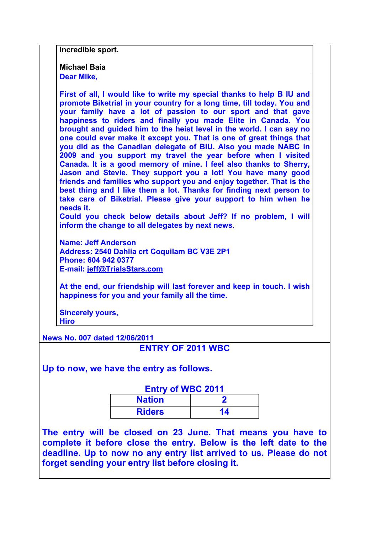**incredible sport.**

**Michael Baia**

**Dear Mike,**

**First of all, I would like to write my special thanks to help B IU and promote Biketrial in your country for a long time, till today. You and your family have a lot of passion to our sport and that gave happiness to riders and finally you made Elite in Canada. You brought and guided him to the heist level in the world. I can say no one could ever make it except you. That is one of great things that you did as the Canadian delegate of BIU. Also you made NABC in 2009 and you support my travel the year before when I visited Canada. It is a good memory of mine. I feel also thanks to Sherry, Jason and Stevie. They support you a lot! You have many good friends and families who support you and enjoy together. That is the best thing and I like them a lot. Thanks for finding next person to take care of Biketrial. Please give your support to him when he needs it.**

**Could you check below details about Jeff? If no problem, I will inform the change to all delegates by next news.**

**Name: Jeff Anderson Address: 2540 Dahlia crt Coquilam BC V3E 2P1 Phone: 604 942 0377 E-mail: jeff@TrialsStars.com**

**At the end, our friendship will last forever and keep in touch. I wish happiness for you and your family all the time.**

**Sincerely yours, Hiro**

**News No. 007 dated 12/06/2011**

**ENTRY OF 2011 WBC**

**Up to now, we have the entry as follows.**

## **Entry of WBC 2011**

| .<br><b>Nation</b> | - - - - - |
|--------------------|-----------|
| <b>Riders</b>      |           |

**The entry will be closed on 23 June. That means you have to complete it before close the entry. Below is the left date to the deadline. Up to now no any entry list arrived to us. Please do not forget sending your entry list before closing it.**